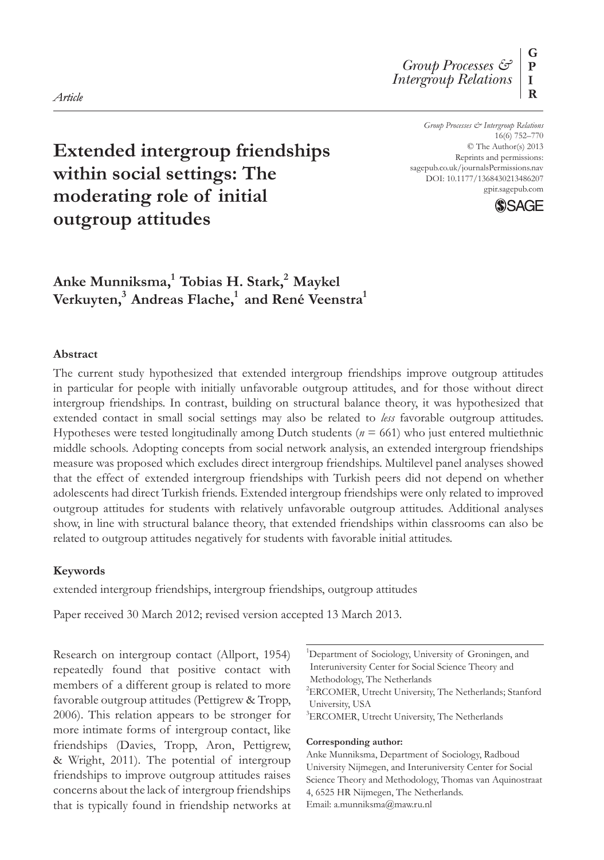**G P I R** *Group Processes & Intergroup Relations*

> *Group Processes & Intergroup Relations* 16(6) 752–770 © The Author(s) 2013 Reprints and permissions: sagepub.co.uk/journalsPermissions.nav DOI: 10.1177/1368430213486207 gpir.sagepub.com



# **Extended intergroup friendships within social settings: The moderating role of initial outgroup attitudes**

Anke Munniksma,<sup>1</sup> Tobias H. Stark,<sup>2</sup> Maykel Verkuyten,<sup>3</sup> Andreas Flache,<sup>1</sup> and René Veenstra<sup>1</sup>

#### **Abstract**

The current study hypothesized that extended intergroup friendships improve outgroup attitudes in particular for people with initially unfavorable outgroup attitudes, and for those without direct intergroup friendships. In contrast, building on structural balance theory, it was hypothesized that extended contact in small social settings may also be related to *less* favorable outgroup attitudes. Hypotheses were tested longitudinally among Dutch students (*n* = 661) who just entered multiethnic middle schools. Adopting concepts from social network analysis, an extended intergroup friendships measure was proposed which excludes direct intergroup friendships. Multilevel panel analyses showed that the effect of extended intergroup friendships with Turkish peers did not depend on whether adolescents had direct Turkish friends. Extended intergroup friendships were only related to improved outgroup attitudes for students with relatively unfavorable outgroup attitudes. Additional analyses show, in line with structural balance theory, that extended friendships within classrooms can also be related to outgroup attitudes negatively for students with favorable initial attitudes.

#### **Keywords**

extended intergroup friendships, intergroup friendships, outgroup attitudes

Paper received 30 March 2012; revised version accepted 13 March 2013.

Research on intergroup contact (Allport, 1954) repeatedly found that positive contact with members of a different group is related to more favorable outgroup attitudes (Pettigrew & Tropp, 2006). This relation appears to be stronger for more intimate forms of intergroup contact, like friendships (Davies, Tropp, Aron, Pettigrew, & Wright, 2011). The potential of intergroup friendships to improve outgroup attitudes raises concerns about the lack of intergroup friendships that is typically found in friendship networks at <sup>1</sup>Department of Sociology, University of Groningen, and Interuniversity Center for Social Science Theory and Methodology, The Netherlands 2 ERCOMER, Utrecht University, The Netherlands; Stanford University, USA 3 ERCOMER, Utrecht University, The Netherlands

#### **Corresponding author:**

Anke Munniksma, Department of Sociology, Radboud University Nijmegen, and Interuniversity Center for Social Science Theory and Methodology, Thomas van Aquinostraat 4, 6525 HR Nijmegen, The Netherlands. Email: a.munniksma@maw.ru.nl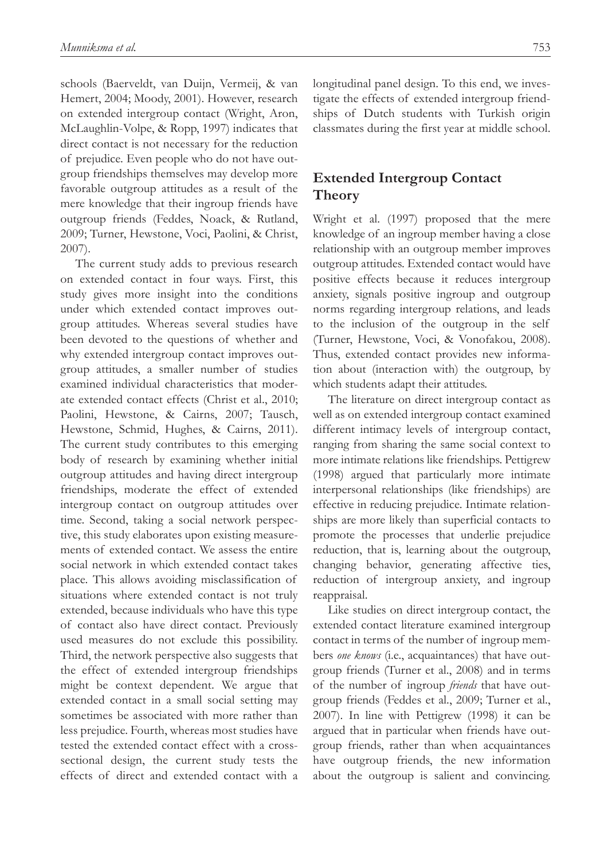schools (Baerveldt, van Duijn, Vermeij, & van Hemert, 2004; Moody, 2001). However, research on extended intergroup contact (Wright, Aron, McLaughlin-Volpe, & Ropp, 1997) indicates that direct contact is not necessary for the reduction of prejudice. Even people who do not have outgroup friendships themselves may develop more favorable outgroup attitudes as a result of the mere knowledge that their ingroup friends have outgroup friends (Feddes, Noack, & Rutland, 2009; Turner, Hewstone, Voci, Paolini, & Christ, 2007).

The current study adds to previous research on extended contact in four ways. First, this study gives more insight into the conditions under which extended contact improves outgroup attitudes. Whereas several studies have been devoted to the questions of whether and why extended intergroup contact improves outgroup attitudes, a smaller number of studies examined individual characteristics that moderate extended contact effects (Christ et al., 2010; Paolini, Hewstone, & Cairns, 2007; Tausch, Hewstone, Schmid, Hughes, & Cairns, 2011). The current study contributes to this emerging body of research by examining whether initial outgroup attitudes and having direct intergroup friendships, moderate the effect of extended intergroup contact on outgroup attitudes over time. Second, taking a social network perspective, this study elaborates upon existing measurements of extended contact. We assess the entire social network in which extended contact takes place. This allows avoiding misclassification of situations where extended contact is not truly extended, because individuals who have this type of contact also have direct contact. Previously used measures do not exclude this possibility. Third, the network perspective also suggests that the effect of extended intergroup friendships might be context dependent. We argue that extended contact in a small social setting may sometimes be associated with more rather than less prejudice. Fourth, whereas most studies have tested the extended contact effect with a crosssectional design, the current study tests the effects of direct and extended contact with a

longitudinal panel design. To this end, we investigate the effects of extended intergroup friendships of Dutch students with Turkish origin classmates during the first year at middle school.

## **Extended Intergroup Contact Theory**

Wright et al. (1997) proposed that the mere knowledge of an ingroup member having a close relationship with an outgroup member improves outgroup attitudes. Extended contact would have positive effects because it reduces intergroup anxiety, signals positive ingroup and outgroup norms regarding intergroup relations, and leads to the inclusion of the outgroup in the self (Turner, Hewstone, Voci, & Vonofakou, 2008). Thus, extended contact provides new information about (interaction with) the outgroup, by which students adapt their attitudes.

The literature on direct intergroup contact as well as on extended intergroup contact examined different intimacy levels of intergroup contact, ranging from sharing the same social context to more intimate relations like friendships. Pettigrew (1998) argued that particularly more intimate interpersonal relationships (like friendships) are effective in reducing prejudice. Intimate relationships are more likely than superficial contacts to promote the processes that underlie prejudice reduction, that is, learning about the outgroup, changing behavior, generating affective ties, reduction of intergroup anxiety, and ingroup reappraisal.

Like studies on direct intergroup contact, the extended contact literature examined intergroup contact in terms of the number of ingroup members *one knows* (i.e., acquaintances) that have outgroup friends (Turner et al., 2008) and in terms of the number of ingroup *friends* that have outgroup friends (Feddes et al., 2009; Turner et al., 2007). In line with Pettigrew (1998) it can be argued that in particular when friends have outgroup friends, rather than when acquaintances have outgroup friends, the new information about the outgroup is salient and convincing.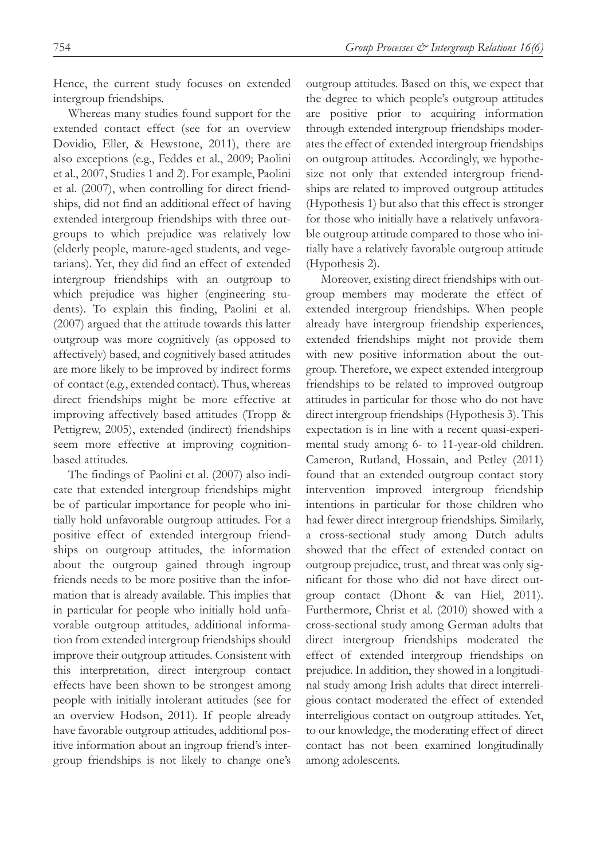Hence, the current study focuses on extended intergroup friendships.

Whereas many studies found support for the extended contact effect (see for an overview Dovidio, Eller, & Hewstone, 2011), there are also exceptions (e.g., Feddes et al., 2009; Paolini et al., 2007, Studies 1 and 2). For example, Paolini et al. (2007), when controlling for direct friendships, did not find an additional effect of having extended intergroup friendships with three outgroups to which prejudice was relatively low (elderly people, mature-aged students, and vegetarians). Yet, they did find an effect of extended intergroup friendships with an outgroup to which prejudice was higher (engineering students). To explain this finding, Paolini et al. (2007) argued that the attitude towards this latter outgroup was more cognitively (as opposed to affectively) based, and cognitively based attitudes are more likely to be improved by indirect forms of contact (e.g., extended contact). Thus, whereas direct friendships might be more effective at improving affectively based attitudes (Tropp & Pettigrew, 2005), extended (indirect) friendships seem more effective at improving cognitionbased attitudes.

The findings of Paolini et al. (2007) also indicate that extended intergroup friendships might be of particular importance for people who initially hold unfavorable outgroup attitudes. For a positive effect of extended intergroup friendships on outgroup attitudes, the information about the outgroup gained through ingroup friends needs to be more positive than the information that is already available. This implies that in particular for people who initially hold unfavorable outgroup attitudes, additional information from extended intergroup friendships should improve their outgroup attitudes. Consistent with this interpretation, direct intergroup contact effects have been shown to be strongest among people with initially intolerant attitudes (see for an overview Hodson, 2011). If people already have favorable outgroup attitudes, additional positive information about an ingroup friend's intergroup friendships is not likely to change one's

outgroup attitudes. Based on this, we expect that the degree to which people's outgroup attitudes are positive prior to acquiring information through extended intergroup friendships moderates the effect of extended intergroup friendships on outgroup attitudes. Accordingly, we hypothesize not only that extended intergroup friendships are related to improved outgroup attitudes (Hypothesis 1) but also that this effect is stronger for those who initially have a relatively unfavorable outgroup attitude compared to those who initially have a relatively favorable outgroup attitude (Hypothesis 2).

Moreover, existing direct friendships with outgroup members may moderate the effect of extended intergroup friendships. When people already have intergroup friendship experiences, extended friendships might not provide them with new positive information about the outgroup. Therefore, we expect extended intergroup friendships to be related to improved outgroup attitudes in particular for those who do not have direct intergroup friendships (Hypothesis 3). This expectation is in line with a recent quasi-experimental study among 6- to 11-year-old children. Cameron, Rutland, Hossain, and Petley (2011) found that an extended outgroup contact story intervention improved intergroup friendship intentions in particular for those children who had fewer direct intergroup friendships. Similarly, a cross-sectional study among Dutch adults showed that the effect of extended contact on outgroup prejudice, trust, and threat was only significant for those who did not have direct outgroup contact (Dhont & van Hiel, 2011). Furthermore, Christ et al. (2010) showed with a cross-sectional study among German adults that direct intergroup friendships moderated the effect of extended intergroup friendships on prejudice. In addition, they showed in a longitudinal study among Irish adults that direct interreligious contact moderated the effect of extended interreligious contact on outgroup attitudes. Yet, to our knowledge, the moderating effect of direct contact has not been examined longitudinally among adolescents.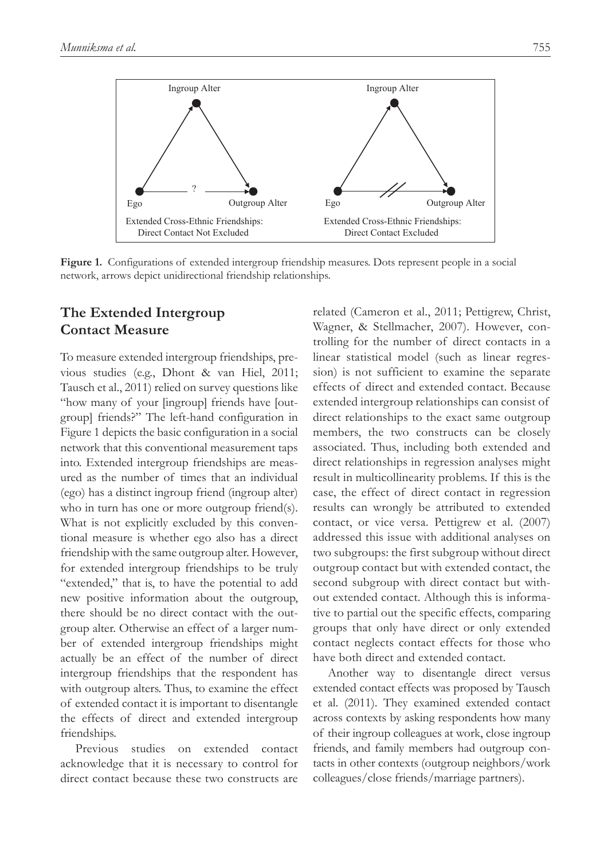

**Figure 1.** Configurations of extended intergroup friendship measures. Dots represent people in a social network, arrows depict unidirectional friendship relationships.

# **The Extended Intergroup Contact Measure**

To measure extended intergroup friendships, previous studies (e.g., Dhont & van Hiel, 2011; Tausch et al., 2011) relied on survey questions like "how many of your [ingroup] friends have [outgroup] friends?" The left-hand configuration in Figure 1 depicts the basic configuration in a social network that this conventional measurement taps into. Extended intergroup friendships are measured as the number of times that an individual (ego) has a distinct ingroup friend (ingroup alter) who in turn has one or more outgroup friend(s). What is not explicitly excluded by this conventional measure is whether ego also has a direct friendship with the same outgroup alter. However, for extended intergroup friendships to be truly "extended," that is, to have the potential to add new positive information about the outgroup, there should be no direct contact with the outgroup alter. Otherwise an effect of a larger number of extended intergroup friendships might actually be an effect of the number of direct intergroup friendships that the respondent has with outgroup alters. Thus, to examine the effect of extended contact it is important to disentangle the effects of direct and extended intergroup friendships.

Previous studies on extended contact acknowledge that it is necessary to control for direct contact because these two constructs are

related (Cameron et al., 2011; Pettigrew, Christ, Wagner, & Stellmacher, 2007). However, controlling for the number of direct contacts in a linear statistical model (such as linear regression) is not sufficient to examine the separate effects of direct and extended contact. Because extended intergroup relationships can consist of direct relationships to the exact same outgroup members, the two constructs can be closely associated. Thus, including both extended and direct relationships in regression analyses might result in multicollinearity problems. If this is the case, the effect of direct contact in regression results can wrongly be attributed to extended contact, or vice versa. Pettigrew et al. (2007) addressed this issue with additional analyses on two subgroups: the first subgroup without direct outgroup contact but with extended contact, the second subgroup with direct contact but without extended contact. Although this is informative to partial out the specific effects, comparing groups that only have direct or only extended contact neglects contact effects for those who have both direct and extended contact.

Another way to disentangle direct versus extended contact effects was proposed by Tausch et al. (2011). They examined extended contact across contexts by asking respondents how many of their ingroup colleagues at work, close ingroup friends, and family members had outgroup contacts in other contexts (outgroup neighbors/work colleagues/close friends/marriage partners).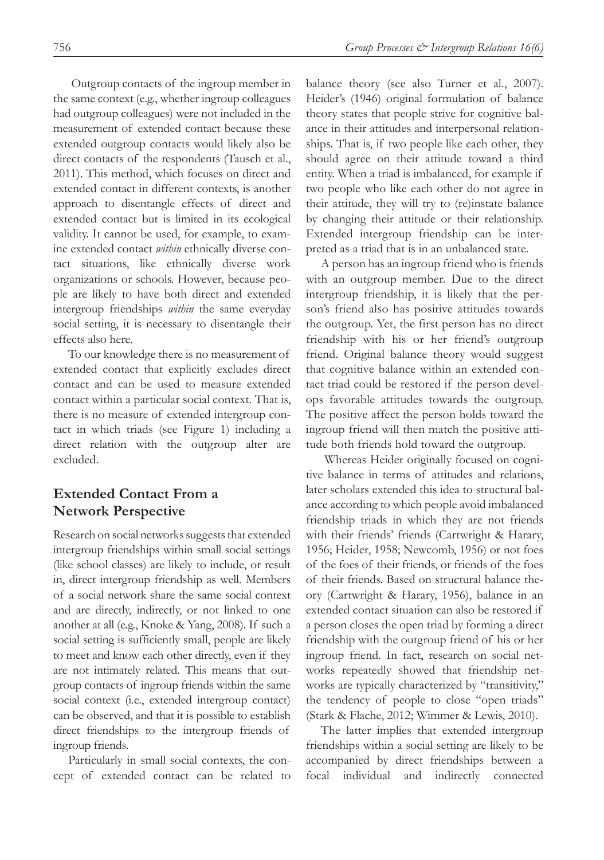Outgroup contacts of the ingroup member in the same context (e.g., whether ingroup colleagues had outgroup colleagues) were not included in the measurement of extended contact because these extended outgroup contacts would likely also be direct contacts of the respondents (Tausch et al., 2011). This method, which focuses on direct and extended contact in different contexts, is another approach to disentangle effects of direct and extended contact but is limited in its ecological validity. It cannot be used, for example, to examine extended contact *within* ethnically diverse contact situations, like ethnically diverse work organizations or schools. However, because people are likely to have both direct and extended intergroup friendships *within* the same everyday social setting, it is necessary to disentangle their effects also here.

To our knowledge there is no measurement of extended contact that explicitly excludes direct contact and can be used to measure extended contact within a particular social context. That is, there is no measure of extended intergroup contact in which triads (see Figure 1) including a direct relation with the outgroup alter are excluded.

# **Extended Contact From a Network Perspective**

Research on social networks suggests that extended intergroup friendships within small social settings (like school classes) are likely to include, or result in, direct intergroup friendship as well. Members of a social network share the same social context and are directly, indirectly, or not linked to one another at all (e.g., Knoke & Yang, 2008). If such a social setting is sufficiently small, people are likely to meet and know each other directly, even if they are not intimately related. This means that outgroup contacts of ingroup friends within the same social context (i.e., extended intergroup contact) can be observed, and that it is possible to establish direct friendships to the intergroup friends of ingroup friends.

Particularly in small social contexts, the concept of extended contact can be related to balance theory (see also Turner et al., 2007). Heider's (1946) original formulation of balance theory states that people strive for cognitive balance in their attitudes and interpersonal relationships. That is, if two people like each other, they should agree on their attitude toward a third entity. When a triad is imbalanced, for example if two people who like each other do not agree in their attitude, they will try to (re)instate balance by changing their attitude or their relationship. Extended intergroup friendship can be interpreted as a triad that is in an unbalanced state.

A person has an ingroup friend who is friends with an outgroup member. Due to the direct intergroup friendship, it is likely that the person's friend also has positive attitudes towards the outgroup. Yet, the first person has no direct friendship with his or her friend's outgroup friend. Original balance theory would suggest that cognitive balance within an extended contact triad could be restored if the person develops favorable attitudes towards the outgroup. The positive affect the person holds toward the ingroup friend will then match the positive attitude both friends hold toward the outgroup.

 Whereas Heider originally focused on cognitive balance in terms of attitudes and relations, later scholars extended this idea to structural balance according to which people avoid imbalanced friendship triads in which they are not friends with their friends' friends (Cartwright & Harary, 1956; Heider, 1958; Newcomb, 1956) or not foes of the foes of their friends, or friends of the foes of their friends. Based on structural balance theory (Cartwright & Harary, 1956), balance in an extended contact situation can also be restored if a person closes the open triad by forming a direct friendship with the outgroup friend of his or her ingroup friend. In fact, research on social networks repeatedly showed that friendship networks are typically characterized by "transitivity," the tendency of people to close "open triads" (Stark & Flache, 2012; Wimmer & Lewis, 2010).

The latter implies that extended intergroup friendships within a social setting are likely to be accompanied by direct friendships between a focal individual and indirectly connected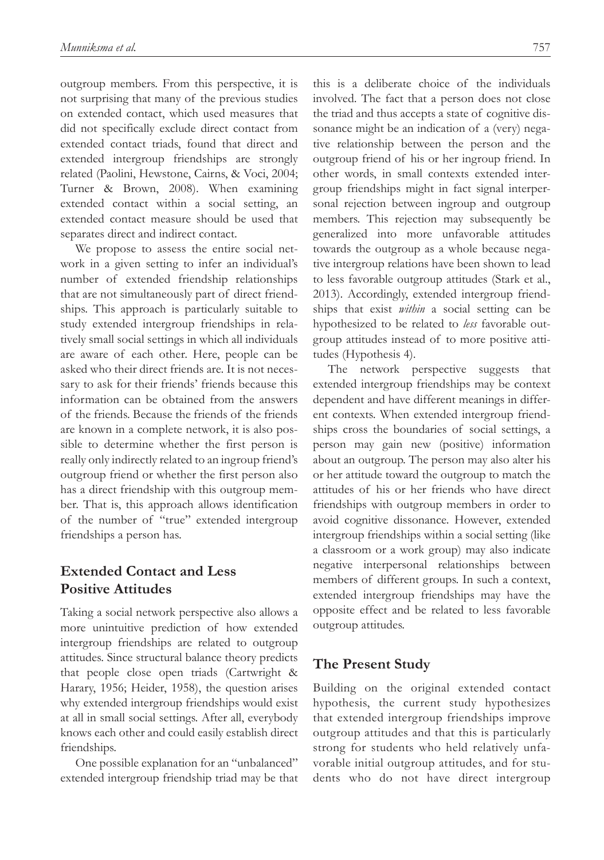outgroup members. From this perspective, it is not surprising that many of the previous studies on extended contact, which used measures that did not specifically exclude direct contact from extended contact triads, found that direct and extended intergroup friendships are strongly related (Paolini, Hewstone, Cairns, & Voci, 2004; Turner & Brown, 2008). When examining extended contact within a social setting, an extended contact measure should be used that separates direct and indirect contact.

We propose to assess the entire social network in a given setting to infer an individual's number of extended friendship relationships that are not simultaneously part of direct friendships. This approach is particularly suitable to study extended intergroup friendships in relatively small social settings in which all individuals are aware of each other. Here, people can be asked who their direct friends are. It is not necessary to ask for their friends' friends because this information can be obtained from the answers of the friends. Because the friends of the friends are known in a complete network, it is also possible to determine whether the first person is really only indirectly related to an ingroup friend's outgroup friend or whether the first person also has a direct friendship with this outgroup member. That is, this approach allows identification of the number of "true" extended intergroup friendships a person has.

# **Extended Contact and Less Positive Attitudes**

Taking a social network perspective also allows a more unintuitive prediction of how extended intergroup friendships are related to outgroup attitudes. Since structural balance theory predicts that people close open triads (Cartwright & Harary, 1956; Heider, 1958), the question arises why extended intergroup friendships would exist at all in small social settings. After all, everybody knows each other and could easily establish direct friendships.

One possible explanation for an "unbalanced" extended intergroup friendship triad may be that this is a deliberate choice of the individuals involved. The fact that a person does not close the triad and thus accepts a state of cognitive dissonance might be an indication of a (very) negative relationship between the person and the outgroup friend of his or her ingroup friend. In other words, in small contexts extended intergroup friendships might in fact signal interpersonal rejection between ingroup and outgroup members. This rejection may subsequently be generalized into more unfavorable attitudes towards the outgroup as a whole because negative intergroup relations have been shown to lead to less favorable outgroup attitudes (Stark et al., 2013). Accordingly, extended intergroup friendships that exist *within* a social setting can be hypothesized to be related to *less* favorable outgroup attitudes instead of to more positive attitudes (Hypothesis 4).

The network perspective suggests that extended intergroup friendships may be context dependent and have different meanings in different contexts. When extended intergroup friendships cross the boundaries of social settings, a person may gain new (positive) information about an outgroup. The person may also alter his or her attitude toward the outgroup to match the attitudes of his or her friends who have direct friendships with outgroup members in order to avoid cognitive dissonance. However, extended intergroup friendships within a social setting (like a classroom or a work group) may also indicate negative interpersonal relationships between members of different groups. In such a context, extended intergroup friendships may have the opposite effect and be related to less favorable outgroup attitudes.

## **The Present Study**

Building on the original extended contact hypothesis, the current study hypothesizes that extended intergroup friendships improve outgroup attitudes and that this is particularly strong for students who held relatively unfavorable initial outgroup attitudes, and for students who do not have direct intergroup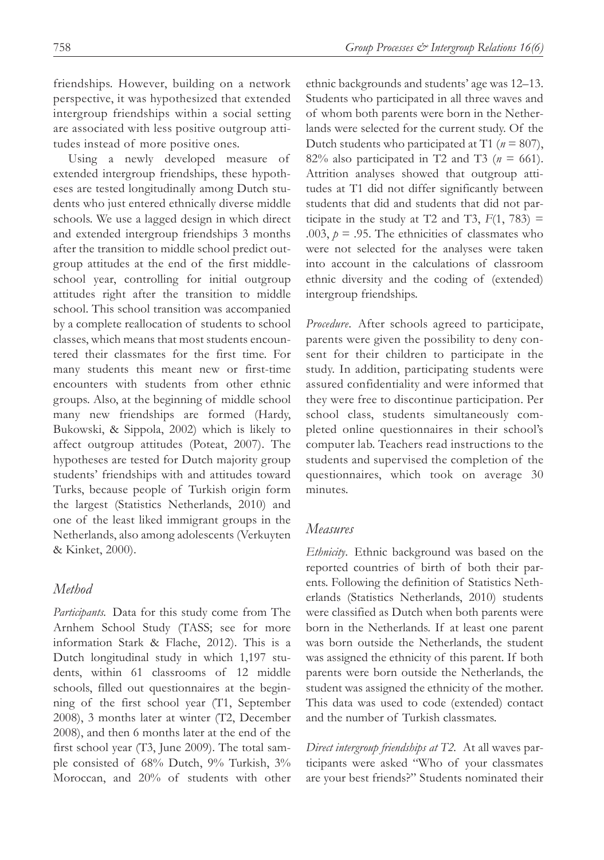friendships. However, building on a network perspective, it was hypothesized that extended intergroup friendships within a social setting are associated with less positive outgroup attitudes instead of more positive ones.

Using a newly developed measure of extended intergroup friendships, these hypotheses are tested longitudinally among Dutch students who just entered ethnically diverse middle schools. We use a lagged design in which direct and extended intergroup friendships 3 months after the transition to middle school predict outgroup attitudes at the end of the first middleschool year, controlling for initial outgroup attitudes right after the transition to middle school. This school transition was accompanied by a complete reallocation of students to school classes, which means that most students encountered their classmates for the first time. For many students this meant new or first-time encounters with students from other ethnic groups. Also, at the beginning of middle school many new friendships are formed (Hardy, Bukowski, & Sippola, 2002) which is likely to affect outgroup attitudes (Poteat, 2007). The hypotheses are tested for Dutch majority group students' friendships with and attitudes toward Turks, because people of Turkish origin form the largest (Statistics Netherlands, 2010) and one of the least liked immigrant groups in the Netherlands, also among adolescents (Verkuyten & Kinket, 2000).

## *Method*

*Participants.* Data for this study come from The Arnhem School Study (TASS; see for more information Stark & Flache, 2012). This is a Dutch longitudinal study in which 1,197 students, within 61 classrooms of 12 middle schools, filled out questionnaires at the beginning of the first school year (T1, September 2008), 3 months later at winter (T2, December 2008), and then 6 months later at the end of the first school year (T3, June 2009). The total sample consisted of 68% Dutch, 9% Turkish, 3% Moroccan, and 20% of students with other

ethnic backgrounds and students' age was 12–13. Students who participated in all three waves and of whom both parents were born in the Netherlands were selected for the current study. Of the Dutch students who participated at T1 ( $n = 807$ ), 82% also participated in T2 and T3 ( $n = 661$ ). Attrition analyses showed that outgroup attitudes at T1 did not differ significantly between students that did and students that did not participate in the study at T2 and T3,  $F(1, 783) =$ .003,  $p = .95$ . The ethnicities of classmates who were not selected for the analyses were taken into account in the calculations of classroom ethnic diversity and the coding of (extended) intergroup friendships.

*Procedure*. After schools agreed to participate, parents were given the possibility to deny consent for their children to participate in the study. In addition, participating students were assured confidentiality and were informed that they were free to discontinue participation. Per school class, students simultaneously completed online questionnaires in their school's computer lab. Teachers read instructions to the students and supervised the completion of the questionnaires, which took on average 30 minutes.

#### *Measures*

*Ethnicity*. Ethnic background was based on the reported countries of birth of both their parents. Following the definition of Statistics Netherlands (Statistics Netherlands, 2010) students were classified as Dutch when both parents were born in the Netherlands. If at least one parent was born outside the Netherlands, the student was assigned the ethnicity of this parent. If both parents were born outside the Netherlands, the student was assigned the ethnicity of the mother. This data was used to code (extended) contact and the number of Turkish classmates.

*Direct intergroup friendships at T2.* At all waves participants were asked "Who of your classmates are your best friends?" Students nominated their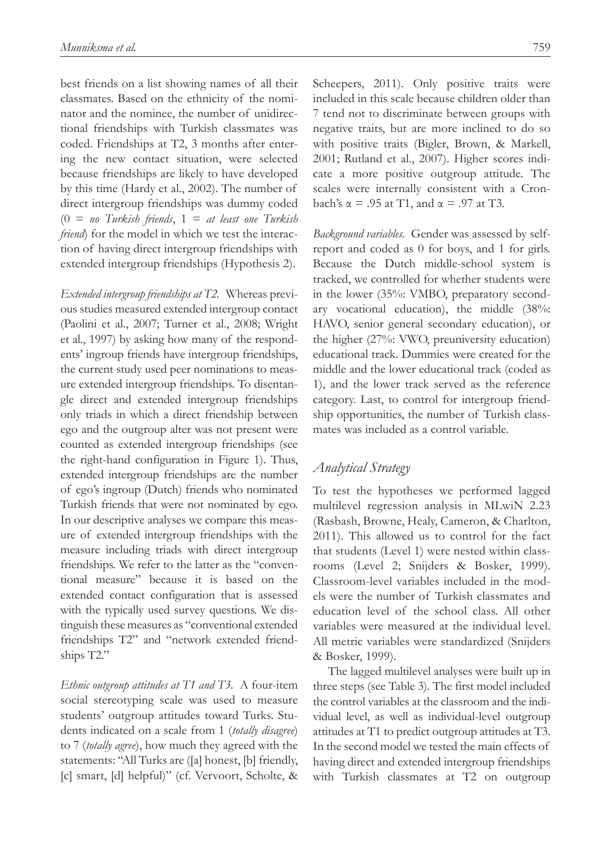best friends on a list showing names of all their classmates. Based on the ethnicity of the nominator and the nominee, the number of unidirectional friendships with Turkish classmates was coded. Friendships at T2, 3 months after entering the new contact situation, were selected because friendships are likely to have developed by this time (Hardy et al., 2002). The number of direct intergroup friendships was dummy coded (0 = *no Turkish friends*, 1 = *at least one Turkish friend*) for the model in which we test the interaction of having direct intergroup friendships with extended intergroup friendships (Hypothesis 2).

*Extended intergroup friendships at T2.* Whereas previous studies measured extended intergroup contact (Paolini et al., 2007; Turner et al., 2008; Wright et al., 1997) by asking how many of the respondents' ingroup friends have intergroup friendships, the current study used peer nominations to measure extended intergroup friendships. To disentangle direct and extended intergroup friendships only triads in which a direct friendship between ego and the outgroup alter was not present were counted as extended intergroup friendships (see the right-hand configuration in Figure 1). Thus, extended intergroup friendships are the number of ego's ingroup (Dutch) friends who nominated Turkish friends that were not nominated by ego. In our descriptive analyses we compare this measure of extended intergroup friendships with the measure including triads with direct intergroup friendships. We refer to the latter as the "conventional measure" because it is based on the extended contact configuration that is assessed with the typically used survey questions. We distinguish these measures as "conventional extended friendships T2" and "network extended friendships T2."

*Ethnic outgroup attitudes at T1 and T3.* A four-item social stereotyping scale was used to measure students' outgroup attitudes toward Turks. Students indicated on a scale from 1 (*totally disagree*) to 7 (*totally agree*), how much they agreed with the statements: "All Turks are ([a] honest, [b] friendly, [c] smart, [d] helpful)" (cf. Vervoort, Scholte, &

Scheepers, 2011). Only positive traits were included in this scale because children older than 7 tend not to discriminate between groups with negative traits, but are more inclined to do so with positive traits (Bigler, Brown, & Markell, 2001; Rutland et al., 2007). Higher scores indicate a more positive outgroup attitude. The scales were internally consistent with a Cronbach's  $\alpha$  = .95 at T1, and  $\alpha$  = .97 at T3.

*Background variables.* Gender was assessed by selfreport and coded as 0 for boys, and 1 for girls. Because the Dutch middle-school system is tracked, we controlled for whether students were in the lower (35%: VMBO, preparatory secondary vocational education), the middle (38%: HAVO, senior general secondary education), or the higher (27%: VWO, preuniversity education) educational track. Dummies were created for the middle and the lower educational track (coded as 1), and the lower track served as the reference category. Last, to control for intergroup friendship opportunities, the number of Turkish classmates was included as a control variable.

## *Analytical Strategy*

To test the hypotheses we performed lagged multilevel regression analysis in MLwiN 2.23 (Rasbash, Browne, Healy, Cameron, & Charlton, 2011). This allowed us to control for the fact that students (Level 1) were nested within classrooms (Level 2; Snijders & Bosker, 1999). Classroom-level variables included in the models were the number of Turkish classmates and education level of the school class. All other variables were measured at the individual level. All metric variables were standardized (Snijders & Bosker, 1999).

The lagged multilevel analyses were built up in three steps (see Table 3). The first model included the control variables at the classroom and the individual level, as well as individual-level outgroup attitudes at T1 to predict outgroup attitudes at T3. In the second model we tested the main effects of having direct and extended intergroup friendships with Turkish classmates at T2 on outgroup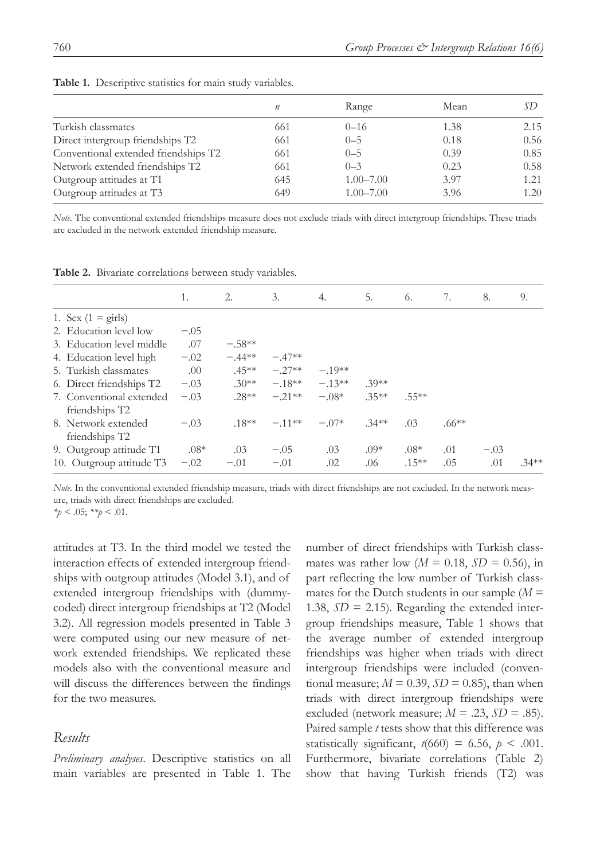|                                      | $\boldsymbol{n}$ | Range         | Mean | SD.  |
|--------------------------------------|------------------|---------------|------|------|
| Turkish classmates                   | 661              | $0 - 16$      | 1.38 | 2.15 |
| Direct intergroup friendships T2     | 661              | $0 - 5$       | 0.18 | 0.56 |
| Conventional extended friendships T2 | 661              | $0 - 5$       | 0.39 | 0.85 |
| Network extended friendships T2      | 661              | $() - 3$      | 0.23 | 0.58 |
| Outgroup attitudes at T1             | 645              | $1.00 - 7.00$ | 3.97 | 1.21 |
| Outgroup attitudes at T3             | 649              | $1.00 - 7.00$ | 3.96 | 1.20 |
|                                      |                  |               |      |      |

**Table 1.** Descriptive statistics for main study variables.

*Note.* The conventional extended friendships measure does not exclude triads with direct intergroup friendships. These triads are excluded in the network extended friendship measure.

**Table 2.** Bivariate correlations between study variables.

|                                            | 1.     | 2.       | 3.        | 4.      | 5.       | 6.       | 7.       | 8.     | 9.       |
|--------------------------------------------|--------|----------|-----------|---------|----------|----------|----------|--------|----------|
| 1. Sex $(1 = \text{girls})$                |        |          |           |         |          |          |          |        |          |
| 2. Education level low                     | $-.05$ |          |           |         |          |          |          |        |          |
| 3. Education level middle                  | .07    | $-.58**$ |           |         |          |          |          |        |          |
| 4. Education level high                    | $-.02$ | $-.44**$ | $-47**$   |         |          |          |          |        |          |
| 5. Turkish classmates                      | .00    | $.45**$  | $-.27**$  | $-19**$ |          |          |          |        |          |
| 6. Direct friendships T2                   | $-.03$ | $.30**$  | $-.18***$ | $-13**$ | $.39**$  |          |          |        |          |
| 7. Conventional extended<br>friendships T2 | $-.03$ | $.28**$  | $-21**$   | $-.08*$ | $.35***$ | $.55***$ |          |        |          |
| 8. Network extended<br>friendships T2      | $-.03$ | $.18***$ | $-.11**$  | $-.07*$ | $.34***$ | .03      | $.66***$ |        |          |
| 9. Outgroup attitude T1                    | $.08*$ | .03      | $-.05$    | .03     | $.09*$   | $.08*$   | .01      | $-.03$ |          |
| 10. Outgroup attitude T3                   | $-.02$ | $-.01$   | $-.01$    | .02     | .06      | $.15***$ | .05      | .01    | $.34***$ |

*Note.* In the conventional extended friendship measure, triads with direct friendships are not excluded. In the network measure, triads with direct friendships are excluded.

*\*p* < .05; *\*\*p* < .01.

attitudes at T3. In the third model we tested the interaction effects of extended intergroup friendships with outgroup attitudes (Model 3.1), and of extended intergroup friendships with (dummycoded) direct intergroup friendships at T2 (Model 3.2). All regression models presented in Table 3 were computed using our new measure of network extended friendships. We replicated these models also with the conventional measure and will discuss the differences between the findings for the two measures.

#### *Results*

*Preliminary analyses*. Descriptive statistics on all main variables are presented in Table 1. The

number of direct friendships with Turkish classmates was rather low  $(M = 0.18, SD = 0.56)$ , in part reflecting the low number of Turkish classmates for the Dutch students in our sample  $(M =$ 1.38,  $SD = 2.15$ ). Regarding the extended intergroup friendships measure, Table 1 shows that the average number of extended intergroup friendships was higher when triads with direct intergroup friendships were included (conventional measure;  $M = 0.39$ ,  $SD = 0.85$ ), than when triads with direct intergroup friendships were excluded (network measure;  $M = .23$ ,  $SD = .85$ ). Paired sample *t* tests show that this difference was statistically significant,  $t(660) = 6.56$ ,  $p < .001$ . Furthermore, bivariate correlations (Table 2) show that having Turkish friends (T2) was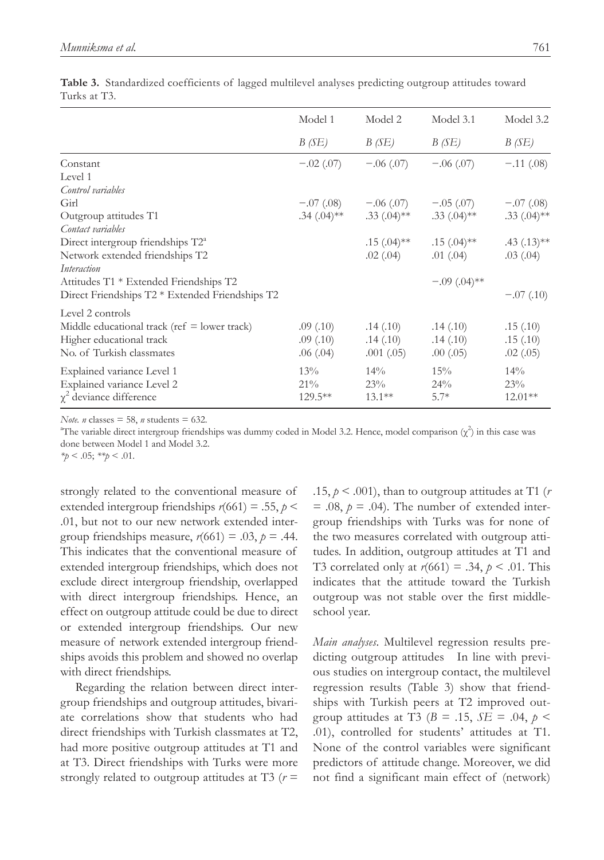|                                                 | Model 1       | Model 2       | Model 3.1      | Model 3.2        |
|-------------------------------------------------|---------------|---------------|----------------|------------------|
|                                                 | B(SE)         | B(SE)         | B(SE)          | B(SE)            |
| Constant                                        | $-.02(.07)$   | $-.06(.07)$   | $-.06(.07)$    | $-.11(.08)$      |
| Level 1                                         |               |               |                |                  |
| Control variables                               |               |               |                |                  |
| Girl                                            | $-.07(.08)$   | $-.06(.07)$   | $-.05(.07)$    | $-.07(.08)$      |
| Outgroup attitudes T1                           | $.34(.04)$ ** | $.33(.04)$ ** | $.33(.04)$ **  | $.33(.04)$ **    |
| Contact variables                               |               |               |                |                  |
| Direct intergroup friendships T2 <sup>a</sup>   |               | $.15(.04)$ ** | $.15(.04)$ **  | $.43$ $(.13)$ ** |
| Network extended friendships T2                 |               | .02(.04)      | $.01$ $(.04)$  | .03(0.04)        |
| Interaction                                     |               |               |                |                  |
| Attitudes T1 * Extended Friendships T2          |               |               | $-.09$ (.04)** |                  |
| Direct Friendships T2 * Extended Friendships T2 |               |               |                | $-.07(.10)$      |
| Level 2 controls                                |               |               |                |                  |
| Middle educational track ( $ref = lower$ track) | .09(.10)      | .14(.10)      | .14(.10)       | .15(.10)         |
| Higher educational track                        | .09(.10)      | .14(.10)      | .14(.10)       | .15(.10)         |
| No. of Turkish classmates                       | .06(.04)      | .001(.05)     | .00(.05)       | .02(0.05)        |
|                                                 |               |               |                |                  |
| Explained variance Level 1                      | 13%           | $14\%$        | 15%            | 14%              |
| Explained variance Level 2                      | $21\%$        | 23%           | $24\%$         | 23%              |
| $\chi^2$ deviance difference                    | $129.5**$     | $13.1**$      | $5.7*$         | $12.01**$        |

**Table 3.** Standardized coefficients of lagged multilevel analyses predicting outgroup attitudes toward Turks at T3.

*Note. n* classes = 58, *n* students = 632.

"The variable direct intergroup friendships was dummy coded in Model 3.2. Hence, model comparison  $(\chi^2)$  in this case was done between Model 1 and Model 3.2.

*\*p* < .05; *\*\*p* < .01.

strongly related to the conventional measure of extended intergroup friendships  $r(661) = .55$ ,  $p \le$ .01, but not to our new network extended intergroup friendships measure,  $r(661) = .03$ ,  $p = .44$ . This indicates that the conventional measure of extended intergroup friendships, which does not exclude direct intergroup friendship, overlapped with direct intergroup friendships. Hence, an effect on outgroup attitude could be due to direct or extended intergroup friendships. Our new measure of network extended intergroup friendships avoids this problem and showed no overlap with direct friendships.

Regarding the relation between direct intergroup friendships and outgroup attitudes, bivariate correlations show that students who had direct friendships with Turkish classmates at T2, had more positive outgroup attitudes at T1 and at T3. Direct friendships with Turks were more strongly related to outgroup attitudes at T3  $(r =$  .15,  $p < .001$ ), than to outgroup attitudes at T1 (*r*  $= .08, p = .04$ ). The number of extended intergroup friendships with Turks was for none of the two measures correlated with outgroup attitudes. In addition, outgroup attitudes at T1 and T3 correlated only at  $r(661) = .34$ ,  $p < .01$ . This indicates that the attitude toward the Turkish outgroup was not stable over the first middleschool year.

*Main analyses*. Multilevel regression results predicting outgroup attitudes In line with previous studies on intergroup contact, the multilevel regression results (Table 3) show that friendships with Turkish peers at T2 improved outgroup attitudes at T3 ( $B = .15$ ,  $SE = .04$ ,  $p <$ .01), controlled for students' attitudes at T1. None of the control variables were significant predictors of attitude change. Moreover, we did not find a significant main effect of (network)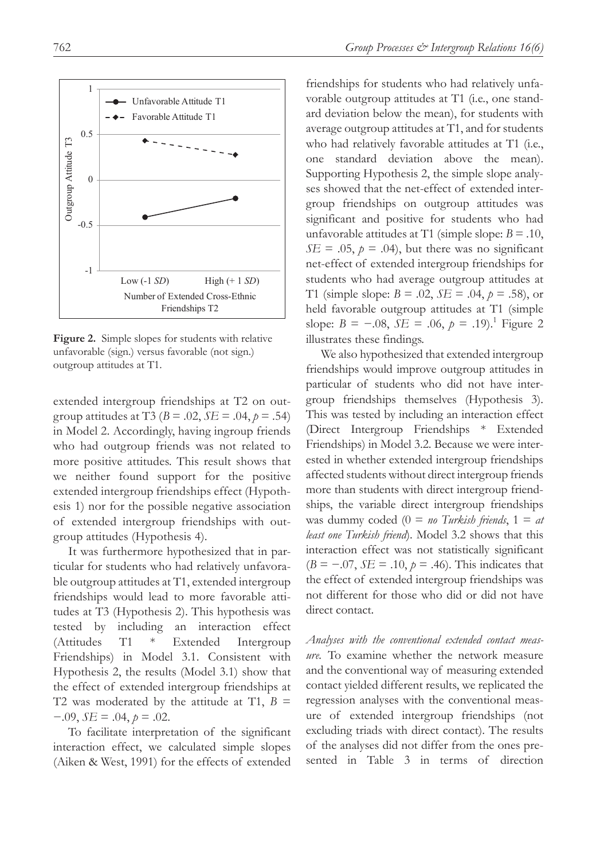

**Figure 2.** Simple slopes for students with relative unfavorable (sign.) versus favorable (not sign.) outgroup attitudes at T1.

extended intergroup friendships at T2 on outgroup attitudes at T3 ( $B = .02$ ,  $SE = .04$ ,  $p = .54$ ) in Model 2. Accordingly, having ingroup friends who had outgroup friends was not related to more positive attitudes. This result shows that we neither found support for the positive extended intergroup friendships effect (Hypothesis 1) nor for the possible negative association of extended intergroup friendships with outgroup attitudes (Hypothesis 4).

It was furthermore hypothesized that in particular for students who had relatively unfavorable outgroup attitudes at T1, extended intergroup friendships would lead to more favorable attitudes at T3 (Hypothesis 2). This hypothesis was tested by including an interaction effect (Attitudes T1 \* Extended Intergroup Friendships) in Model 3.1. Consistent with Hypothesis 2, the results (Model 3.1) show that the effect of extended intergroup friendships at T2 was moderated by the attitude at T1,  $B =$  $-.09$ , *SE* = .04,  $p = .02$ .

To facilitate interpretation of the significant interaction effect, we calculated simple slopes (Aiken & West, 1991) for the effects of extended

friendships for students who had relatively unfavorable outgroup attitudes at T1 (i.e., one standard deviation below the mean), for students with average outgroup attitudes at T1, and for students who had relatively favorable attitudes at T1 (i.e., one standard deviation above the mean). Supporting Hypothesis 2, the simple slope analyses showed that the net-effect of extended intergroup friendships on outgroup attitudes was significant and positive for students who had unfavorable attitudes at T1 (simple slope:  $B = .10$ ,  $SE = .05$ ,  $p = .04$ ), but there was no significant net-effect of extended intergroup friendships for students who had average outgroup attitudes at T1 (simple slope: *B* = .02, *SE* = .04, *p* = .58), or held favorable outgroup attitudes at T1 (simple slope:  $B = -.08$ ,  $SE = .06$ ,  $p = .19$ ).<sup>1</sup> Figure 2 illustrates these findings.

We also hypothesized that extended intergroup friendships would improve outgroup attitudes in particular of students who did not have intergroup friendships themselves (Hypothesis 3). This was tested by including an interaction effect (Direct Intergroup Friendships \* Extended Friendships) in Model 3.2. Because we were interested in whether extended intergroup friendships affected students without direct intergroup friends more than students with direct intergroup friendships, the variable direct intergroup friendships was dummy coded (0 = *no Turkish friends*, 1 = *at least one Turkish friend*). Model 3.2 shows that this interaction effect was not statistically significant (*B* = −.07, *SE* = .10, *p* = .46). This indicates that the effect of extended intergroup friendships was not different for those who did or did not have direct contact.

*Analyses with the conventional extended contact measure.* To examine whether the network measure and the conventional way of measuring extended contact yielded different results, we replicated the regression analyses with the conventional measure of extended intergroup friendships (not excluding triads with direct contact). The results of the analyses did not differ from the ones presented in Table 3 in terms of direction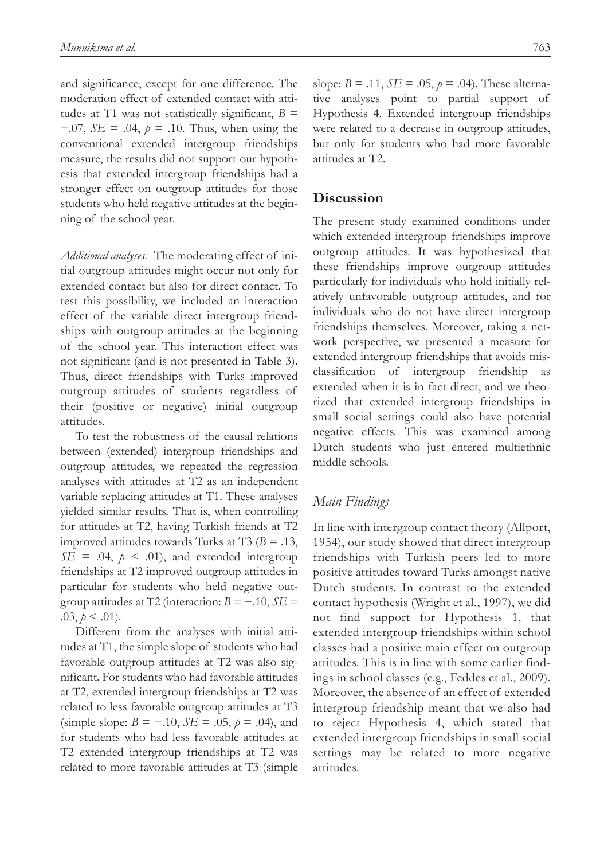and significance, except for one difference. The moderation effect of extended contact with attitudes at T1 was not statistically significant,  $B =$ −.07, *SE* = .04, *p* = .10. Thus, when using the conventional extended intergroup friendships measure, the results did not support our hypothesis that extended intergroup friendships had a stronger effect on outgroup attitudes for those students who held negative attitudes at the beginning of the school year.

*Additional analyses.* The moderating effect of initial outgroup attitudes might occur not only for extended contact but also for direct contact. To test this possibility, we included an interaction effect of the variable direct intergroup friendships with outgroup attitudes at the beginning of the school year. This interaction effect was not significant (and is not presented in Table 3). Thus, direct friendships with Turks improved outgroup attitudes of students regardless of their (positive or negative) initial outgroup attitudes.

To test the robustness of the causal relations between (extended) intergroup friendships and outgroup attitudes, we repeated the regression analyses with attitudes at T2 as an independent variable replacing attitudes at T1. These analyses yielded similar results. That is, when controlling for attitudes at T2, having Turkish friends at T2 improved attitudes towards Turks at T3 ( $B = .13$ ,  $SE = .04$ ,  $p < .01$ ), and extended intergroup friendships at T2 improved outgroup attitudes in particular for students who held negative outgroup attitudes at T2 (interaction:  $B = -0.10$ ,  $SE =$  $.03, p \leq .01$ ).

Different from the analyses with initial attitudes at T1, the simple slope of students who had favorable outgroup attitudes at T2 was also significant. For students who had favorable attitudes at T2, extended intergroup friendships at T2 was related to less favorable outgroup attitudes at T3 (simple slope: *B* = −.10, *SE* = .05, *p* = .04), and for students who had less favorable attitudes at T2 extended intergroup friendships at T2 was related to more favorable attitudes at T3 (simple slope:  $B = .11$ ,  $SE = .05$ ,  $p = .04$ ). These alternative analyses point to partial support of Hypothesis 4. Extended intergroup friendships were related to a decrease in outgroup attitudes, but only for students who had more favorable attitudes at T2.

### **Discussion**

The present study examined conditions under which extended intergroup friendships improve outgroup attitudes. It was hypothesized that these friendships improve outgroup attitudes particularly for individuals who hold initially relatively unfavorable outgroup attitudes, and for individuals who do not have direct intergroup friendships themselves. Moreover, taking a network perspective, we presented a measure for extended intergroup friendships that avoids misclassification of intergroup friendship as extended when it is in fact direct, and we theorized that extended intergroup friendships in small social settings could also have potential negative effects. This was examined among Dutch students who just entered multiethnic middle schools.

#### *Main Findings*

In line with intergroup contact theory (Allport, 1954), our study showed that direct intergroup friendships with Turkish peers led to more positive attitudes toward Turks amongst native Dutch students. In contrast to the extended contact hypothesis (Wright et al., 1997), we did not find support for Hypothesis 1, that extended intergroup friendships within school classes had a positive main effect on outgroup attitudes. This is in line with some earlier findings in school classes (e.g., Feddes et al., 2009). Moreover, the absence of an effect of extended intergroup friendship meant that we also had to reject Hypothesis 4, which stated that extended intergroup friendships in small social settings may be related to more negative attitudes.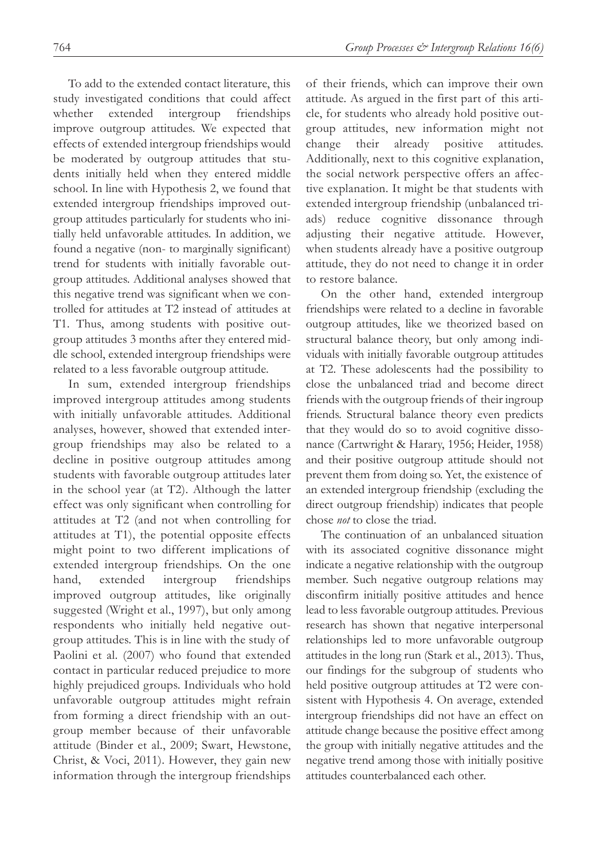To add to the extended contact literature, this study investigated conditions that could affect whether extended intergroup friendships improve outgroup attitudes. We expected that effects of extended intergroup friendships would be moderated by outgroup attitudes that students initially held when they entered middle school. In line with Hypothesis 2, we found that extended intergroup friendships improved outgroup attitudes particularly for students who initially held unfavorable attitudes. In addition, we found a negative (non- to marginally significant) trend for students with initially favorable outgroup attitudes. Additional analyses showed that this negative trend was significant when we controlled for attitudes at T2 instead of attitudes at T1. Thus, among students with positive outgroup attitudes 3 months after they entered middle school, extended intergroup friendships were related to a less favorable outgroup attitude.

In sum, extended intergroup friendships improved intergroup attitudes among students with initially unfavorable attitudes. Additional analyses, however, showed that extended intergroup friendships may also be related to a decline in positive outgroup attitudes among students with favorable outgroup attitudes later in the school year (at T2). Although the latter effect was only significant when controlling for attitudes at T2 (and not when controlling for attitudes at T1), the potential opposite effects might point to two different implications of extended intergroup friendships. On the one hand, extended intergroup friendships improved outgroup attitudes, like originally suggested (Wright et al., 1997), but only among respondents who initially held negative outgroup attitudes. This is in line with the study of Paolini et al. (2007) who found that extended contact in particular reduced prejudice to more highly prejudiced groups. Individuals who hold unfavorable outgroup attitudes might refrain from forming a direct friendship with an outgroup member because of their unfavorable attitude (Binder et al., 2009; Swart, Hewstone, Christ, & Voci, 2011). However, they gain new information through the intergroup friendships

of their friends, which can improve their own attitude. As argued in the first part of this article, for students who already hold positive outgroup attitudes, new information might not change their already positive attitudes. Additionally, next to this cognitive explanation, the social network perspective offers an affective explanation. It might be that students with extended intergroup friendship (unbalanced triads) reduce cognitive dissonance through adjusting their negative attitude. However, when students already have a positive outgroup attitude, they do not need to change it in order to restore balance.

On the other hand, extended intergroup friendships were related to a decline in favorable outgroup attitudes, like we theorized based on structural balance theory, but only among individuals with initially favorable outgroup attitudes at T2. These adolescents had the possibility to close the unbalanced triad and become direct friends with the outgroup friends of their ingroup friends. Structural balance theory even predicts that they would do so to avoid cognitive dissonance (Cartwright & Harary, 1956; Heider, 1958) and their positive outgroup attitude should not prevent them from doing so. Yet, the existence of an extended intergroup friendship (excluding the direct outgroup friendship) indicates that people chose *not* to close the triad.

The continuation of an unbalanced situation with its associated cognitive dissonance might indicate a negative relationship with the outgroup member. Such negative outgroup relations may disconfirm initially positive attitudes and hence lead to less favorable outgroup attitudes. Previous research has shown that negative interpersonal relationships led to more unfavorable outgroup attitudes in the long run (Stark et al., 2013). Thus, our findings for the subgroup of students who held positive outgroup attitudes at T2 were consistent with Hypothesis 4. On average, extended intergroup friendships did not have an effect on attitude change because the positive effect among the group with initially negative attitudes and the negative trend among those with initially positive attitudes counterbalanced each other.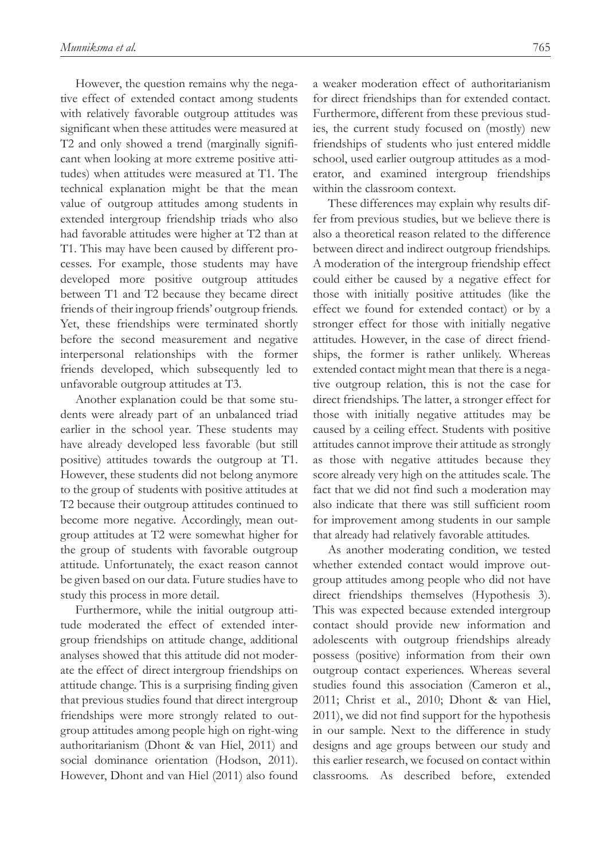However, the question remains why the negative effect of extended contact among students with relatively favorable outgroup attitudes was significant when these attitudes were measured at T2 and only showed a trend (marginally significant when looking at more extreme positive attitudes) when attitudes were measured at T1. The technical explanation might be that the mean value of outgroup attitudes among students in extended intergroup friendship triads who also had favorable attitudes were higher at T2 than at T1. This may have been caused by different processes. For example, those students may have developed more positive outgroup attitudes between T1 and T2 because they became direct friends of their ingroup friends' outgroup friends. Yet, these friendships were terminated shortly before the second measurement and negative interpersonal relationships with the former friends developed, which subsequently led to unfavorable outgroup attitudes at T3.

Another explanation could be that some students were already part of an unbalanced triad earlier in the school year. These students may have already developed less favorable (but still positive) attitudes towards the outgroup at T1. However, these students did not belong anymore to the group of students with positive attitudes at T2 because their outgroup attitudes continued to become more negative. Accordingly, mean outgroup attitudes at T2 were somewhat higher for the group of students with favorable outgroup attitude. Unfortunately, the exact reason cannot be given based on our data. Future studies have to study this process in more detail.

Furthermore, while the initial outgroup attitude moderated the effect of extended intergroup friendships on attitude change, additional analyses showed that this attitude did not moderate the effect of direct intergroup friendships on attitude change. This is a surprising finding given that previous studies found that direct intergroup friendships were more strongly related to outgroup attitudes among people high on right-wing authoritarianism (Dhont & van Hiel, 2011) and social dominance orientation (Hodson, 2011). However, Dhont and van Hiel (2011) also found

a weaker moderation effect of authoritarianism for direct friendships than for extended contact. Furthermore, different from these previous studies, the current study focused on (mostly) new friendships of students who just entered middle school, used earlier outgroup attitudes as a moderator, and examined intergroup friendships within the classroom context.

These differences may explain why results differ from previous studies, but we believe there is also a theoretical reason related to the difference between direct and indirect outgroup friendships. A moderation of the intergroup friendship effect could either be caused by a negative effect for those with initially positive attitudes (like the effect we found for extended contact) or by a stronger effect for those with initially negative attitudes. However, in the case of direct friendships, the former is rather unlikely. Whereas extended contact might mean that there is a negative outgroup relation, this is not the case for direct friendships. The latter, a stronger effect for those with initially negative attitudes may be caused by a ceiling effect. Students with positive attitudes cannot improve their attitude as strongly as those with negative attitudes because they score already very high on the attitudes scale. The fact that we did not find such a moderation may also indicate that there was still sufficient room for improvement among students in our sample that already had relatively favorable attitudes.

As another moderating condition, we tested whether extended contact would improve outgroup attitudes among people who did not have direct friendships themselves (Hypothesis 3). This was expected because extended intergroup contact should provide new information and adolescents with outgroup friendships already possess (positive) information from their own outgroup contact experiences. Whereas several studies found this association (Cameron et al., 2011; Christ et al., 2010; Dhont & van Hiel, 2011), we did not find support for the hypothesis in our sample. Next to the difference in study designs and age groups between our study and this earlier research, we focused on contact within classrooms. As described before, extended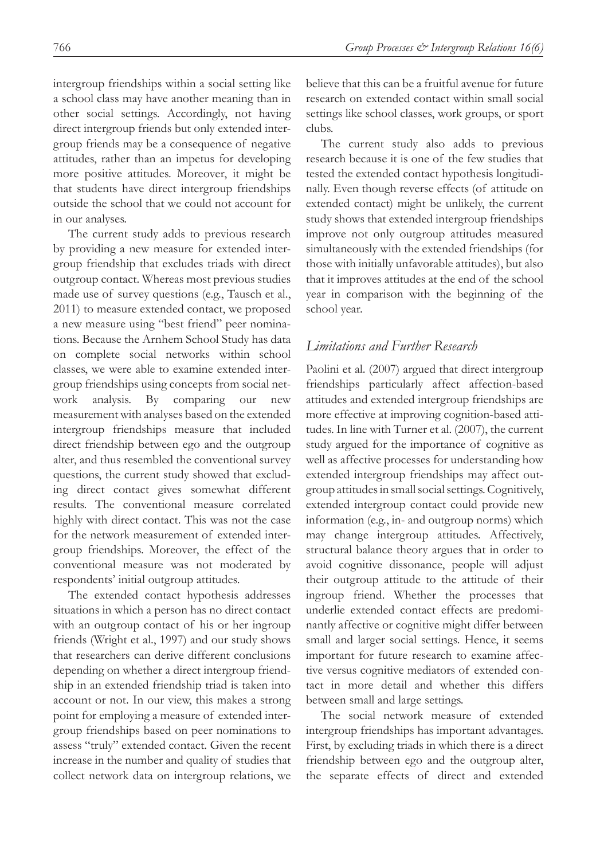intergroup friendships within a social setting like a school class may have another meaning than in other social settings. Accordingly, not having direct intergroup friends but only extended intergroup friends may be a consequence of negative attitudes, rather than an impetus for developing more positive attitudes. Moreover, it might be that students have direct intergroup friendships outside the school that we could not account for in our analyses.

The current study adds to previous research by providing a new measure for extended intergroup friendship that excludes triads with direct outgroup contact. Whereas most previous studies made use of survey questions (e.g., Tausch et al., 2011) to measure extended contact, we proposed a new measure using "best friend" peer nominations. Because the Arnhem School Study has data on complete social networks within school classes, we were able to examine extended intergroup friendships using concepts from social network analysis. By comparing our new measurement with analyses based on the extended intergroup friendships measure that included direct friendship between ego and the outgroup alter, and thus resembled the conventional survey questions, the current study showed that excluding direct contact gives somewhat different results. The conventional measure correlated highly with direct contact. This was not the case for the network measurement of extended intergroup friendships. Moreover, the effect of the conventional measure was not moderated by respondents' initial outgroup attitudes.

The extended contact hypothesis addresses situations in which a person has no direct contact with an outgroup contact of his or her ingroup friends (Wright et al., 1997) and our study shows that researchers can derive different conclusions depending on whether a direct intergroup friendship in an extended friendship triad is taken into account or not. In our view, this makes a strong point for employing a measure of extended intergroup friendships based on peer nominations to assess "truly" extended contact. Given the recent increase in the number and quality of studies that collect network data on intergroup relations, we

believe that this can be a fruitful avenue for future research on extended contact within small social settings like school classes, work groups, or sport clubs.

The current study also adds to previous research because it is one of the few studies that tested the extended contact hypothesis longitudinally. Even though reverse effects (of attitude on extended contact) might be unlikely, the current study shows that extended intergroup friendships improve not only outgroup attitudes measured simultaneously with the extended friendships (for those with initially unfavorable attitudes), but also that it improves attitudes at the end of the school year in comparison with the beginning of the school year.

#### *Limitations and Further Research*

Paolini et al. (2007) argued that direct intergroup friendships particularly affect affection-based attitudes and extended intergroup friendships are more effective at improving cognition-based attitudes. In line with Turner et al. (2007), the current study argued for the importance of cognitive as well as affective processes for understanding how extended intergroup friendships may affect outgroup attitudes in small social settings. Cognitively, extended intergroup contact could provide new information (e.g., in- and outgroup norms) which may change intergroup attitudes. Affectively, structural balance theory argues that in order to avoid cognitive dissonance, people will adjust their outgroup attitude to the attitude of their ingroup friend. Whether the processes that underlie extended contact effects are predominantly affective or cognitive might differ between small and larger social settings. Hence, it seems important for future research to examine affective versus cognitive mediators of extended contact in more detail and whether this differs between small and large settings.

The social network measure of extended intergroup friendships has important advantages. First, by excluding triads in which there is a direct friendship between ego and the outgroup alter, the separate effects of direct and extended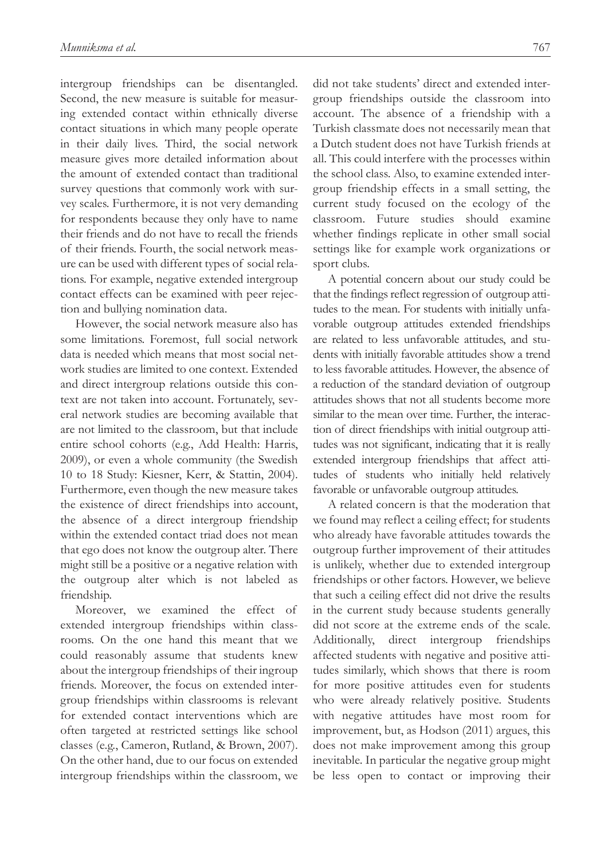intergroup friendships can be disentangled. Second, the new measure is suitable for measuring extended contact within ethnically diverse contact situations in which many people operate in their daily lives. Third, the social network measure gives more detailed information about the amount of extended contact than traditional survey questions that commonly work with survey scales. Furthermore, it is not very demanding for respondents because they only have to name their friends and do not have to recall the friends of their friends. Fourth, the social network measure can be used with different types of social relations. For example, negative extended intergroup contact effects can be examined with peer rejection and bullying nomination data.

However, the social network measure also has some limitations. Foremost, full social network data is needed which means that most social network studies are limited to one context. Extended and direct intergroup relations outside this context are not taken into account. Fortunately, several network studies are becoming available that are not limited to the classroom, but that include entire school cohorts (e.g., Add Health: Harris, 2009), or even a whole community (the Swedish 10 to 18 Study: Kiesner, Kerr, & Stattin, 2004). Furthermore, even though the new measure takes the existence of direct friendships into account, the absence of a direct intergroup friendship within the extended contact triad does not mean that ego does not know the outgroup alter. There might still be a positive or a negative relation with the outgroup alter which is not labeled as friendship.

Moreover, we examined the effect of extended intergroup friendships within classrooms. On the one hand this meant that we could reasonably assume that students knew about the intergroup friendships of their ingroup friends. Moreover, the focus on extended intergroup friendships within classrooms is relevant for extended contact interventions which are often targeted at restricted settings like school classes (e.g., Cameron, Rutland, & Brown, 2007). On the other hand, due to our focus on extended intergroup friendships within the classroom, we

did not take students' direct and extended intergroup friendships outside the classroom into account. The absence of a friendship with a Turkish classmate does not necessarily mean that a Dutch student does not have Turkish friends at all. This could interfere with the processes within the school class. Also, to examine extended intergroup friendship effects in a small setting, the current study focused on the ecology of the classroom. Future studies should examine whether findings replicate in other small social settings like for example work organizations or sport clubs.

A potential concern about our study could be that the findings reflect regression of outgroup attitudes to the mean. For students with initially unfavorable outgroup attitudes extended friendships are related to less unfavorable attitudes, and students with initially favorable attitudes show a trend to less favorable attitudes. However, the absence of a reduction of the standard deviation of outgroup attitudes shows that not all students become more similar to the mean over time. Further, the interaction of direct friendships with initial outgroup attitudes was not significant, indicating that it is really extended intergroup friendships that affect attitudes of students who initially held relatively favorable or unfavorable outgroup attitudes.

A related concern is that the moderation that we found may reflect a ceiling effect; for students who already have favorable attitudes towards the outgroup further improvement of their attitudes is unlikely, whether due to extended intergroup friendships or other factors. However, we believe that such a ceiling effect did not drive the results in the current study because students generally did not score at the extreme ends of the scale. Additionally, direct intergroup friendships affected students with negative and positive attitudes similarly, which shows that there is room for more positive attitudes even for students who were already relatively positive. Students with negative attitudes have most room for improvement, but, as Hodson (2011) argues, this does not make improvement among this group inevitable. In particular the negative group might be less open to contact or improving their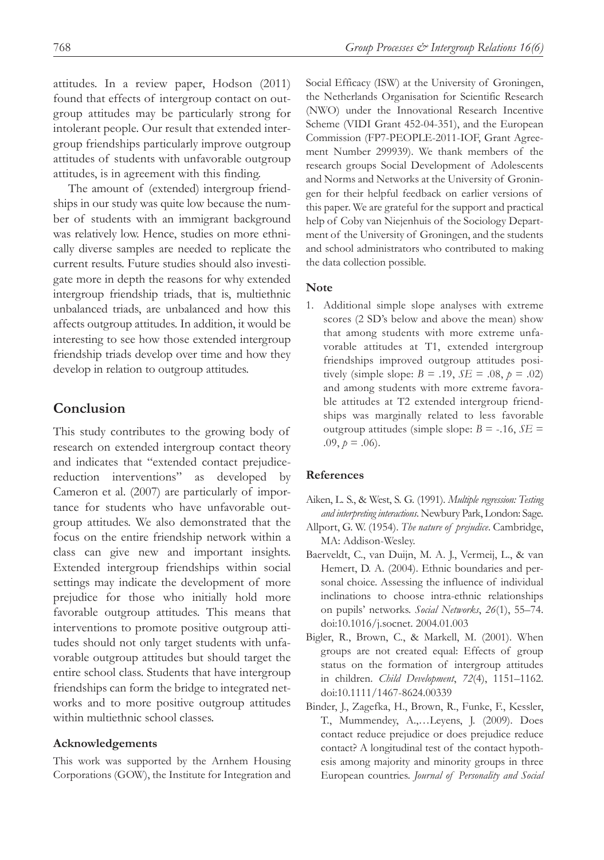768 *Group Processes & Intergroup Relations 16(6)*

attitudes. In a review paper, Hodson (2011) found that effects of intergroup contact on outgroup attitudes may be particularly strong for intolerant people. Our result that extended intergroup friendships particularly improve outgroup attitudes of students with unfavorable outgroup attitudes, is in agreement with this finding.

The amount of (extended) intergroup friendships in our study was quite low because the number of students with an immigrant background was relatively low. Hence, studies on more ethnically diverse samples are needed to replicate the current results. Future studies should also investigate more in depth the reasons for why extended intergroup friendship triads, that is, multiethnic unbalanced triads, are unbalanced and how this affects outgroup attitudes. In addition, it would be interesting to see how those extended intergroup friendship triads develop over time and how they develop in relation to outgroup attitudes.

## **Conclusion**

This study contributes to the growing body of research on extended intergroup contact theory and indicates that "extended contact prejudicereduction interventions" as developed by Cameron et al. (2007) are particularly of importance for students who have unfavorable outgroup attitudes. We also demonstrated that the focus on the entire friendship network within a class can give new and important insights. Extended intergroup friendships within social settings may indicate the development of more prejudice for those who initially hold more favorable outgroup attitudes. This means that interventions to promote positive outgroup attitudes should not only target students with unfavorable outgroup attitudes but should target the entire school class. Students that have intergroup friendships can form the bridge to integrated networks and to more positive outgroup attitudes within multiethnic school classes.

#### **Acknowledgements**

This work was supported by the Arnhem Housing Corporations (GOW), the Institute for Integration and

Social Efficacy (ISW) at the University of Groningen, the Netherlands Organisation for Scientific Research (NWO) under the Innovational Research Incentive Scheme (VIDI Grant 452-04-351), and the European Commission (FP7-PEOPLE-2011-IOF, Grant Agreement Number 299939). We thank members of the research groups Social Development of Adolescents and Norms and Networks at the University of Groningen for their helpful feedback on earlier versions of this paper. We are grateful for the support and practical help of Coby van Niejenhuis of the Sociology Department of the University of Groningen, and the students and school administrators who contributed to making the data collection possible.

#### **Note**

1. Additional simple slope analyses with extreme scores (2 SD's below and above the mean) show that among students with more extreme unfavorable attitudes at T1, extended intergroup friendships improved outgroup attitudes positively (simple slope:  $B = .19$ ,  $SE = .08$ ,  $p = .02$ ) and among students with more extreme favorable attitudes at T2 extended intergroup friendships was marginally related to less favorable outgroup attitudes (simple slope:  $B = -0.16$ ,  $SE =$  $.09, p = .06$ ).

#### **References**

- Aiken, L. S., & West, S. G. (1991). *Multiple regression: Testing and interpreting interactions*. Newbury Park, London: Sage.
- Allport, G. W. (1954). *The nature of prejudice*. Cambridge, MA: Addison-Wesley.
- Baerveldt, C., van Duijn, M. A. J., Vermeij, L., & van Hemert, D. A. (2004). Ethnic boundaries and personal choice. Assessing the influence of individual inclinations to choose intra-ethnic relationships on pupils' networks. *Social Networks*, *26*(1), 55–74. doi:10.1016/j.socnet. 2004.01.003
- Bigler, R., Brown, C., & Markell, M. (2001). When groups are not created equal: Effects of group status on the formation of intergroup attitudes in children. *Child Development*, *72*(4), 1151–1162. doi:10.1111/1467-8624.00339
- Binder, J., Zagefka, H., Brown, R., Funke, F., Kessler, T., Mummendey, A.,…Leyens, J. (2009). Does contact reduce prejudice or does prejudice reduce contact? A longitudinal test of the contact hypothesis among majority and minority groups in three European countries. *Journal of Personality and Social*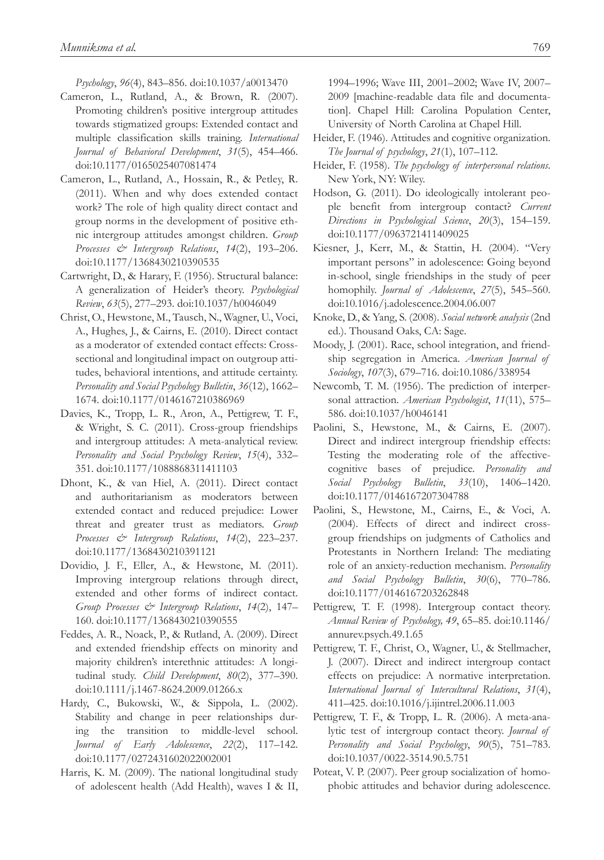*Psychology*, *96*(4), 843–856. doi:10.1037/a0013470

- Cameron, L., Rutland, A., & Brown, R. (2007). Promoting children's positive intergroup attitudes towards stigmatized groups: Extended contact and multiple classification skills training. *International Journal of Behavioral Development*, *31*(5), 454–466. doi:10.1177/0165025407081474
- Cameron, L., Rutland, A., Hossain, R., & Petley, R. (2011). When and why does extended contact work? The role of high quality direct contact and group norms in the development of positive ethnic intergroup attitudes amongst children. *Group Processes & Intergroup Relations*, *14*(2), 193–206. doi:10.1177/1368430210390535
- Cartwright, D., & Harary, F. (1956). Structural balance: A generalization of Heider's theory. *Psychological Review*, *63*(5), 277–293. doi:10.1037/h0046049
- Christ, O., Hewstone, M., Tausch, N., Wagner, U., Voci, A., Hughes, J., & Cairns, E. (2010). Direct contact as a moderator of extended contact effects: Crosssectional and longitudinal impact on outgroup attitudes, behavioral intentions, and attitude certainty. *Personality and Social Psychology Bulletin*, *36*(12), 1662– 1674. doi:10.1177/0146167210386969
- Davies, K., Tropp, L. R., Aron, A., Pettigrew, T. F., & Wright, S. C. (2011). Cross-group friendships and intergroup attitudes: A meta-analytical review. *Personality and Social Psychology Review*, *15*(4), 332– 351. doi:10.1177/1088868311411103
- Dhont, K., & van Hiel, A. (2011). Direct contact and authoritarianism as moderators between extended contact and reduced prejudice: Lower threat and greater trust as mediators. *Group Processes & Intergroup Relations*, *14*(2), 223–237. doi:10.1177/1368430210391121
- Dovidio, J. F., Eller, A., & Hewstone, M. (2011). Improving intergroup relations through direct, extended and other forms of indirect contact. *Group Processes & Intergroup Relations*, *14*(2), 147– 160. doi:10.1177/1368430210390555
- Feddes, A. R., Noack, P., & Rutland, A. (2009). Direct and extended friendship effects on minority and majority children's interethnic attitudes: A longitudinal study. *Child Development*, *80*(2), 377–390. doi:10.1111/j.1467-8624.2009.01266.x
- Hardy, C., Bukowski, W., & Sippola, L. (2002). Stability and change in peer relationships during the transition to middle-level school. *Journal of Early Adolescence*, *22*(2), 117–142. doi:10.1177/0272431602022002001
- Harris, K. M. (2009). The national longitudinal study of adolescent health (Add Health), waves I & II,

1994–1996; Wave III, 2001–2002; Wave IV, 2007– 2009 [machine-readable data file and documentation]. Chapel Hill: Carolina Population Center, University of North Carolina at Chapel Hill.

- Heider, F. (1946). Attitudes and cognitive organization. *The Journal of psychology*, *21*(1), 107–112.
- Heider, F. (1958). *The psychology of interpersonal relations*. New York, NY: Wiley.
- Hodson, G. (2011). Do ideologically intolerant people benefit from intergroup contact? *Current Directions in Psychological Science*, *20*(3), 154–159. doi:10.1177/0963721411409025
- Kiesner, J., Kerr, M., & Stattin, H. (2004). "Very important persons" in adolescence: Going beyond in-school, single friendships in the study of peer homophily. *Journal of Adolescence*, *27*(5), 545–560. doi:10.1016/j.adolescence.2004.06.007
- Knoke, D., & Yang, S. (2008). *Social network analysis* (2nd ed.). Thousand Oaks, CA: Sage.
- Moody, J. (2001). Race, school integration, and friendship segregation in America. *American Journal of Sociology*, *107*(3), 679–716. doi:10.1086/338954
- Newcomb, T. M. (1956). The prediction of interpersonal attraction. *American Psychologist*, *11*(11), 575– 586. doi:10.1037/h0046141
- Paolini, S., Hewstone, M., & Cairns, E. (2007). Direct and indirect intergroup friendship effects: Testing the moderating role of the affectivecognitive bases of prejudice. *Personality and Social Psychology Bulletin*, *33*(10), 1406–1420. doi:10.1177/0146167207304788
- Paolini, S., Hewstone, M., Cairns, E., & Voci, A. (2004). Effects of direct and indirect crossgroup friendships on judgments of Catholics and Protestants in Northern Ireland: The mediating role of an anxiety-reduction mechanism. *Personality and Social Psychology Bulletin*, *30*(6), 770–786. doi:10.1177/0146167203262848
- Pettigrew, T. F. (1998). Intergroup contact theory. *Annual Review of Psychology, 49*, 65–85. doi:10.1146/ annurev.psych.49.1.65
- Pettigrew, T. F., Christ, O., Wagner, U., & Stellmacher, J. (2007). Direct and indirect intergroup contact effects on prejudice: A normative interpretation. *International Journal of Intercultural Relations*, *31*(4), 411–425. doi:10.1016/j.ijintrel.2006.11.003
- Pettigrew, T. F., & Tropp, L. R. (2006). A meta-analytic test of intergroup contact theory. *Journal of Personality and Social Psychology*, *90*(5), 751–783. doi:10.1037/0022-3514.90.5.751
- Poteat, V. P. (2007). Peer group socialization of homophobic attitudes and behavior during adolescence.